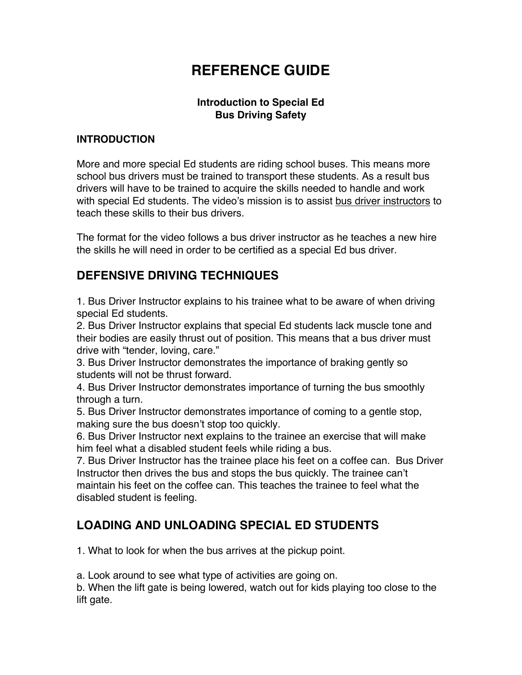# **REFERENCE GUIDE**

# **Introduction to Special Ed Bus Driving Safety**

#### **INTRODUCTION**

More and more special Ed students are riding school buses. This means more school bus drivers must be trained to transport these students. As a result bus drivers will have to be trained to acquire the skills needed to handle and work with special Ed students. The video's mission is to assist bus driver instructors to teach these skills to their bus drivers.

The format for the video follows a bus driver instructor as he teaches a new hire the skills he will need in order to be certified as a special Ed bus driver.

# **DEFENSIVE DRIVING TECHNIQUES**

1. Bus Driver Instructor explains to his trainee what to be aware of when driving special Ed students.

2. Bus Driver Instructor explains that special Ed students lack muscle tone and their bodies are easily thrust out of position. This means that a bus driver must drive with "tender, loving, care."

3. Bus Driver Instructor demonstrates the importance of braking gently so students will not be thrust forward.

4. Bus Driver Instructor demonstrates importance of turning the bus smoothly through a turn.

5. Bus Driver Instructor demonstrates importance of coming to a gentle stop, making sure the bus doesn't stop too quickly.

6. Bus Driver Instructor next explains to the trainee an exercise that will make him feel what a disabled student feels while riding a bus.

7. Bus Driver Instructor has the trainee place his feet on a coffee can. Bus Driver Instructor then drives the bus and stops the bus quickly. The trainee can't maintain his feet on the coffee can. This teaches the trainee to feel what the disabled student is feeling.

# **LOADING AND UNLOADING SPECIAL ED STUDENTS**

1. What to look for when the bus arrives at the pickup point.

a. Look around to see what type of activities are going on.

b. When the lift gate is being lowered, watch out for kids playing too close to the lift gate.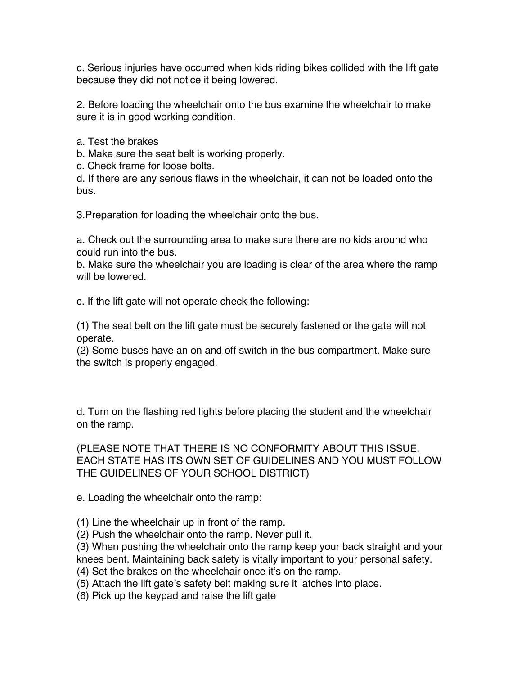c. Serious injuries have occurred when kids riding bikes collided with the lift gate because they did not notice it being lowered.

2. Before loading the wheelchair onto the bus examine the wheelchair to make sure it is in good working condition.

a. Test the brakes

b. Make sure the seat belt is working properly.

c. Check frame for loose bolts.

d. If there are any serious flaws in the wheelchair, it can not be loaded onto the bus.

3.Preparation for loading the wheelchair onto the bus.

a. Check out the surrounding area to make sure there are no kids around who could run into the bus.

b. Make sure the wheelchair you are loading is clear of the area where the ramp will be lowered.

c. If the lift gate will not operate check the following:

(1) The seat belt on the lift gate must be securely fastened or the gate will not operate.

(2) Some buses have an on and off switch in the bus compartment. Make sure the switch is properly engaged.

d. Turn on the flashing red lights before placing the student and the wheelchair on the ramp.

(PLEASE NOTE THAT THERE IS NO CONFORMITY ABOUT THIS ISSUE. EACH STATE HAS ITS OWN SET OF GUIDELINES AND YOU MUST FOLLOW THE GUIDELINES OF YOUR SCHOOL DISTRICT)

e. Loading the wheelchair onto the ramp:

- (1) Line the wheelchair up in front of the ramp.
- (2) Push the wheelchair onto the ramp. Never pull it.
- (3) When pushing the wheelchair onto the ramp keep your back straight and your

knees bent. Maintaining back safety is vitally important to your personal safety.

- (4) Set the brakes on the wheelchair once it's on the ramp.
- (5) Attach the lift gate's safety belt making sure it latches into place.
- (6) Pick up the keypad and raise the lift gate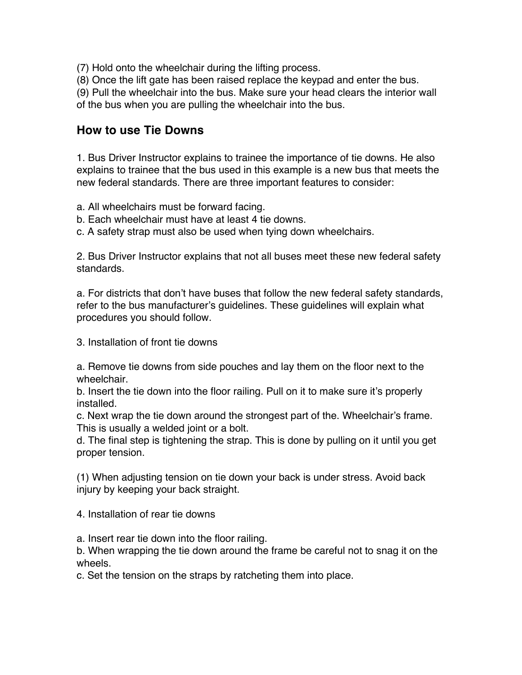- (7) Hold onto the wheelchair during the lifting process.
- (8) Once the lift gate has been raised replace the keypad and enter the bus.

(9) Pull the wheelchair into the bus. Make sure your head clears the interior wall

of the bus when you are pulling the wheelchair into the bus.

# **How to use Tie Downs**

1. Bus Driver Instructor explains to trainee the importance of tie downs. He also explains to trainee that the bus used in this example is a new bus that meets the new federal standards. There are three important features to consider:

- a. All wheelchairs must be forward facing.
- b. Each wheelchair must have at least 4 tie downs.
- c. A safety strap must also be used when tying down wheelchairs.

2. Bus Driver Instructor explains that not all buses meet these new federal safety standards.

a. For districts that don't have buses that follow the new federal safety standards, refer to the bus manufacturer's guidelines. These guidelines will explain what procedures you should follow.

3. Installation of front tie downs

a. Remove tie downs from side pouches and lay them on the floor next to the wheelchair.

b. Insert the tie down into the floor railing. Pull on it to make sure it's properly installed.

c. Next wrap the tie down around the strongest part of the. Wheelchair's frame. This is usually a welded joint or a bolt.

d. The final step is tightening the strap. This is done by pulling on it until you get proper tension.

(1) When adjusting tension on tie down your back is under stress. Avoid back injury by keeping your back straight.

4. Installation of rear tie downs

a. Insert rear tie down into the floor railing.

b. When wrapping the tie down around the frame be careful not to snag it on the wheels.

c. Set the tension on the straps by ratcheting them into place.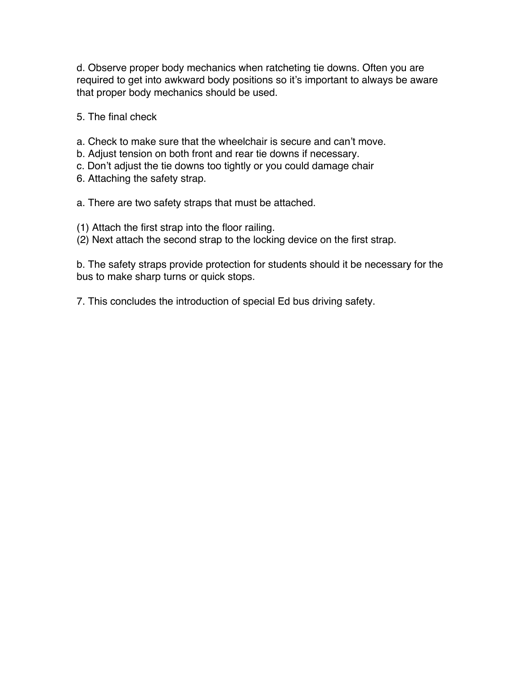d. Observe proper body mechanics when ratcheting tie downs. Often you are required to get into awkward body positions so it's important to always be aware that proper body mechanics should be used.

5. The final check

a. Check to make sure that the wheelchair is secure and can't move.

- b. Adjust tension on both front and rear tie downs if necessary.
- c. Don't adjust the tie downs too tightly or you could damage chair
- 6. Attaching the safety strap.

a. There are two safety straps that must be attached.

- (1) Attach the first strap into the floor railing.
- (2) Next attach the second strap to the locking device on the first strap.

b. The safety straps provide protection for students should it be necessary for the bus to make sharp turns or quick stops.

7. This concludes the introduction of special Ed bus driving safety.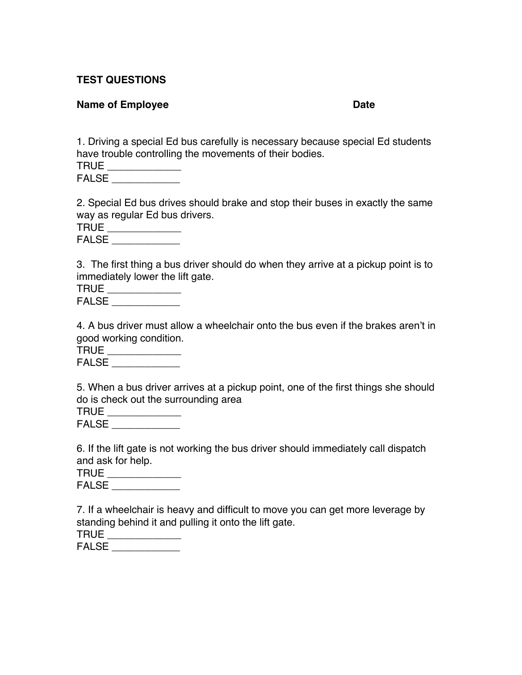### **TEST QUESTIONS**

#### **Name of Employee Date**

1. Driving a special Ed bus carefully is necessary because special Ed students have trouble controlling the movements of their bodies.

| TRUE       |  |  |  |
|------------|--|--|--|
| FAL:<br>9. |  |  |  |

2. Special Ed bus drives should brake and stop their buses in exactly the same way as regular Ed bus drivers.

| TRUE       |  |
|------------|--|
| FΔI<br>QE. |  |

3. The first thing a bus driver should do when they arrive at a pickup point is to immediately lower the lift gate.

| TRUE          |  |
|---------------|--|
| <b>FAI SF</b> |  |

4. A bus driver must allow a wheelchair onto the bus even if the brakes aren't in good working condition.

TRUE \_\_\_\_\_\_\_\_\_\_\_\_\_\_ FALSE \_\_\_\_\_\_\_\_\_\_\_\_\_\_

5. When a bus driver arrives at a pickup point, one of the first things she should do is check out the surrounding area

| TRUE         |  |
|--------------|--|
| <b>FALSE</b> |  |

6. If the lift gate is not working the bus driver should immediately call dispatch and ask for help.

| . .<br>$-$ |  |  |
|------------|--|--|
|            |  |  |

FALSE **EXECUTE** 

7. If a wheelchair is heavy and difficult to move you can get more leverage by standing behind it and pulling it onto the lift gate.

| <b>TRUE</b>  |  |
|--------------|--|
| <b>FALSE</b> |  |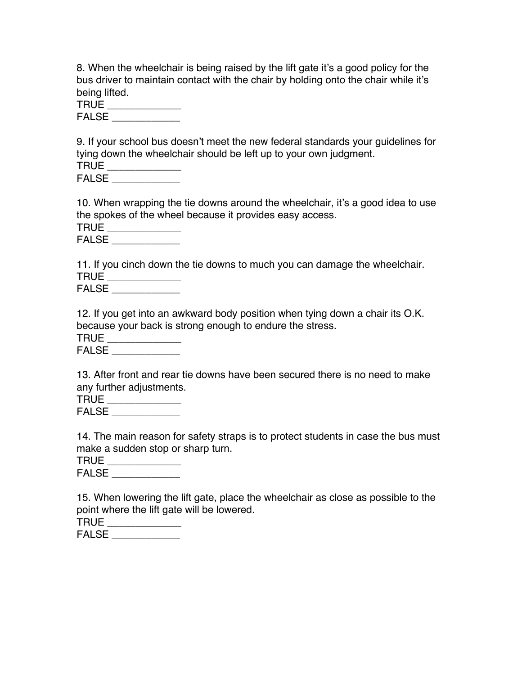8. When the wheelchair is being raised by the lift gate it's a good policy for the bus driver to maintain contact with the chair by holding onto the chair while it's being lifted.

| TRUE  |  |
|-------|--|
| FALSE |  |

9. If your school bus doesn't meet the new federal standards your guidelines for tying down the wheelchair should be left up to your own judgment. TRUE \_\_\_\_\_\_\_\_\_\_\_\_\_

| .            |  |  |
|--------------|--|--|
|              |  |  |
| <b>FALSL</b> |  |  |
|              |  |  |
|              |  |  |

10. When wrapping the tie downs around the wheelchair, it's a good idea to use the spokes of the wheel because it provides easy access.

| TRUE      |  |  |
|-----------|--|--|
| FAI<br>9. |  |  |

11. If you cinch down the tie downs to much you can damage the wheelchair. TRUE \_\_\_\_\_\_\_\_\_\_\_\_\_\_

FALSE \_\_\_\_\_\_\_\_\_\_\_\_

12. If you get into an awkward body position when tying down a chair its O.K. because your back is strong enough to endure the stress.

TRUE \_\_\_\_\_\_\_\_\_\_\_ FALSE \_\_\_\_\_\_\_\_\_\_\_\_

13. After front and rear tie downs have been secured there is no need to make any further adjustments.

TRUE \_\_\_\_\_\_\_\_\_\_\_\_\_\_

FALSE \_\_\_\_\_\_\_\_\_\_\_\_

14. The main reason for safety straps is to protect students in case the bus must make a sudden stop or sharp turn.

| TRUE  |  |  |  |
|-------|--|--|--|
| ----- |  |  |  |

 $FALSE \_\_$ 

15. When lowering the lift gate, place the wheelchair as close as possible to the point where the lift gate will be lowered.

| FΑ<br>ココ<br>ΛL |  |
|----------------|--|